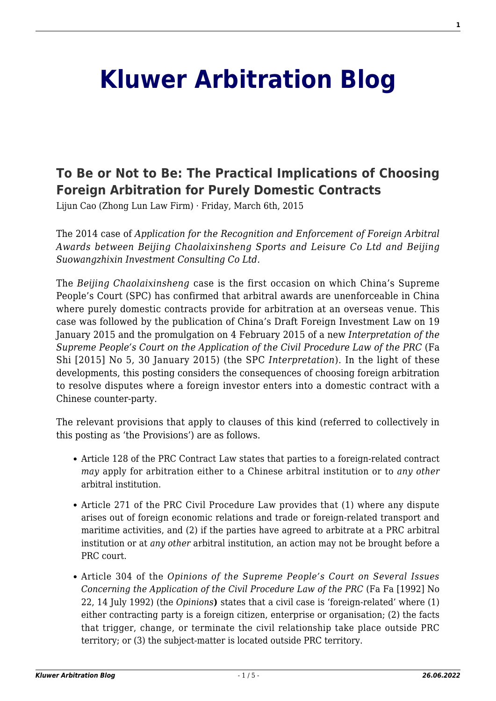## **[Kluwer Arbitration Blog](http://arbitrationblog.kluwerarbitration.com/)**

## **[To Be or Not to Be: The Practical Implications of Choosing](http://arbitrationblog.kluwerarbitration.com/2015/03/06/to-be-or-not-to-be-the-practical-implications-of-choosing-foreign-arbitration-for-purely-domestic-contracts/) [Foreign Arbitration for Purely Domestic Contracts](http://arbitrationblog.kluwerarbitration.com/2015/03/06/to-be-or-not-to-be-the-practical-implications-of-choosing-foreign-arbitration-for-purely-domestic-contracts/)**

Lijun Cao (Zhong Lun Law Firm) · Friday, March 6th, 2015

The 2014 case of *Application for the Recognition and Enforcement of Foreign Arbitral Awards between Beijing Chaolaixinsheng Sports and Leisure Co Ltd and Beijing Suowangzhixin Investment Consulting Co Ltd.*

The *Beijing Chaolaixinsheng* case is the first occasion on which China's Supreme People's Court (SPC) has confirmed that arbitral awards are unenforceable in China where purely domestic contracts provide for arbitration at an overseas venue. This case was followed by the publication of China's Draft Foreign Investment Law on 19 January 2015 and the promulgation on 4 February 2015 of a new *Interpretation of the Supreme People's Court on the Application of the Civil Procedure Law of the PRC* (Fa Shi [2015] No 5, 30 January 2015) (the SPC *Interpretation*). In the light of these developments, this posting considers the consequences of choosing foreign arbitration to resolve disputes where a foreign investor enters into a domestic contract with a Chinese counter-party.

The relevant provisions that apply to clauses of this kind (referred to collectively in this posting as 'the Provisions') are as follows.

- Article 128 of the PRC Contract Law states that parties to a foreign-related contract *may* apply for arbitration either to a Chinese arbitral institution or to *any other* arbitral institution.
- Article 271 of the PRC Civil Procedure Law provides that (1) where any dispute arises out of foreign economic relations and trade or foreign-related transport and maritime activities, and (2) if the parties have agreed to arbitrate at a PRC arbitral institution or at *any other* arbitral institution, an action may not be brought before a PRC court.
- Article 304 of the *Opinions of the Supreme People's Court on Several Issues Concerning the Application of the Civil Procedure Law of the PRC* (Fa Fa [1992] No 22, 14 July 1992) (the *Opinions***)** states that a civil case is 'foreign-related' where (1) either contracting party is a foreign citizen, enterprise or organisation; (2) the facts that trigger, change, or terminate the civil relationship take place outside PRC territory; or (3) the subject-matter is located outside PRC territory.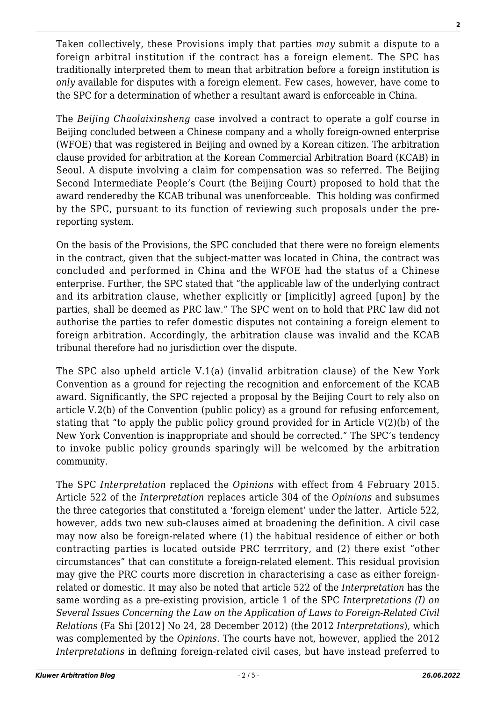Taken collectively, these Provisions imply that parties *may* submit a dispute to a foreign arbitral institution if the contract has a foreign element. The SPC has traditionally interpreted them to mean that arbitration before a foreign institution is *only* available for disputes with a foreign element. Few cases, however, have come to the SPC for a determination of whether a resultant award is enforceable in China.

The *Beijing Chaolaixinsheng* case involved a contract to operate a golf course in Beijing concluded between a Chinese company and a wholly foreign-owned enterprise (WFOE) that was registered in Beijing and owned by a Korean citizen. The arbitration clause provided for arbitration at the Korean Commercial Arbitration Board (KCAB) in Seoul. A dispute involving a claim for compensation was so referred. The Beijing Second Intermediate People's Court (the Beijing Court) proposed to hold that the award renderedby the KCAB tribunal was unenforceable. This holding was confirmed by the SPC, pursuant to its function of reviewing such proposals under the prereporting system.

On the basis of the Provisions, the SPC concluded that there were no foreign elements in the contract, given that the subject-matter was located in China, the contract was concluded and performed in China and the WFOE had the status of a Chinese enterprise. Further, the SPC stated that "the applicable law of the underlying contract and its arbitration clause, whether explicitly or [implicitly] agreed [upon] by the parties, shall be deemed as PRC law." The SPC went on to hold that PRC law did not authorise the parties to refer domestic disputes not containing a foreign element to foreign arbitration. Accordingly, the arbitration clause was invalid and the KCAB tribunal therefore had no jurisdiction over the dispute.

The SPC also upheld article V.1(a) (invalid arbitration clause) of the New York Convention as a ground for rejecting the recognition and enforcement of the KCAB award. Significantly, the SPC rejected a proposal by the Beijing Court to rely also on article V.2(b) of the Convention (public policy) as a ground for refusing enforcement, stating that "to apply the public policy ground provided for in Article V(2)(b) of the New York Convention is inappropriate and should be corrected." The SPC's tendency to invoke public policy grounds sparingly will be welcomed by the arbitration community.

The SPC *Interpretation* replaced the *Opinions* with effect from 4 February 2015. Article 522 of the *Interpretation* replaces article 304 of the *Opinions* and subsumes the three categories that constituted a 'foreign element' under the latter. Article 522, however, adds two new sub-clauses aimed at broadening the definition. A civil case may now also be foreign-related where (1) the habitual residence of either or both contracting parties is located outside PRC terrritory, and (2) there exist "other circumstances" that can constitute a foreign-related element. This residual provision may give the PRC courts more discretion in characterising a case as either foreignrelated or domestic. It may also be noted that article 522 of the *Interpretation* has the same wording as a pre-existing provision, article 1 of the SPC *Interpretations (I) on Several Issues Concerning the Law on the Application of Laws to Foreign-Related Civil Relations* (Fa Shi [2012] No 24, 28 December 2012) (the 2012 *Interpretations*), which was complemented by the *Opinions.* The courts have not, however, applied the 2012 *Interpretations* in defining foreign-related civil cases, but have instead preferred to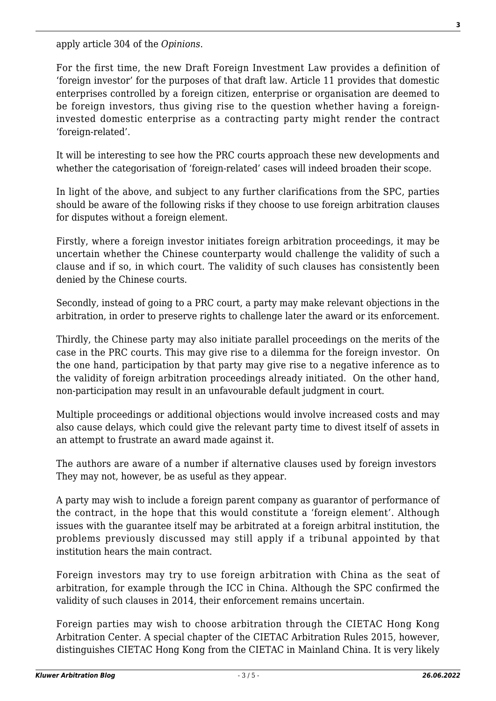apply article 304 of the *Opinions*.

For the first time, the new Draft Foreign Investment Law provides a definition of 'foreign investor' for the purposes of that draft law. Article 11 provides that domestic enterprises controlled by a foreign citizen, enterprise or organisation are deemed to be foreign investors, thus giving rise to the question whether having a foreigninvested domestic enterprise as a contracting party might render the contract 'foreign-related'.

It will be interesting to see how the PRC courts approach these new developments and whether the categorisation of 'foreign-related' cases will indeed broaden their scope.

In light of the above, and subject to any further clarifications from the SPC, parties should be aware of the following risks if they choose to use foreign arbitration clauses for disputes without a foreign element.

Firstly, where a foreign investor initiates foreign arbitration proceedings, it may be uncertain whether the Chinese counterparty would challenge the validity of such a clause and if so, in which court. The validity of such clauses has consistently been denied by the Chinese courts.

Secondly, instead of going to a PRC court, a party may make relevant objections in the arbitration, in order to preserve rights to challenge later the award or its enforcement.

Thirdly, the Chinese party may also initiate parallel proceedings on the merits of the case in the PRC courts. This may give rise to a dilemma for the foreign investor. On the one hand, participation by that party may give rise to a negative inference as to the validity of foreign arbitration proceedings already initiated. On the other hand, non-participation may result in an unfavourable default judgment in court.

Multiple proceedings or additional objections would involve increased costs and may also cause delays, which could give the relevant party time to divest itself of assets in an attempt to frustrate an award made against it.

The authors are aware of a number if alternative clauses used by foreign investors They may not, however, be as useful as they appear.

A party may wish to include a foreign parent company as guarantor of performance of the contract, in the hope that this would constitute a 'foreign element'. Although issues with the guarantee itself may be arbitrated at a foreign arbitral institution, the problems previously discussed may still apply if a tribunal appointed by that institution hears the main contract.

Foreign investors may try to use foreign arbitration with China as the seat of arbitration, for example through the ICC in China. Although the SPC confirmed the validity of such clauses in 2014, their enforcement remains uncertain.

Foreign parties may wish to choose arbitration through the CIETAC Hong Kong Arbitration Center. A special chapter of the CIETAC Arbitration Rules 2015, however, distinguishes CIETAC Hong Kong from the CIETAC in Mainland China. It is very likely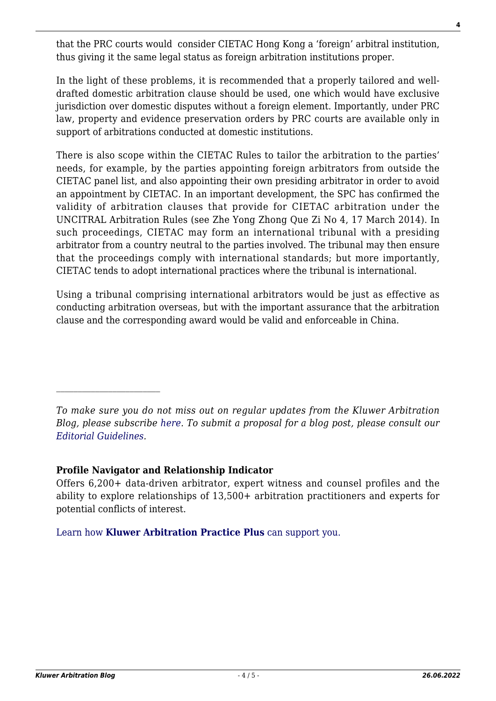that the PRC courts would consider CIETAC Hong Kong a 'foreign' arbitral institution, thus giving it the same legal status as foreign arbitration institutions proper.

In the light of these problems, it is recommended that a properly tailored and welldrafted domestic arbitration clause should be used, one which would have exclusive jurisdiction over domestic disputes without a foreign element. Importantly, under PRC law, property and evidence preservation orders by PRC courts are available only in support of arbitrations conducted at domestic institutions.

There is also scope within the CIETAC Rules to tailor the arbitration to the parties' needs, for example, by the parties appointing foreign arbitrators from outside the CIETAC panel list, and also appointing their own presiding arbitrator in order to avoid an appointment by CIETAC. In an important development, the SPC has confirmed the validity of arbitration clauses that provide for CIETAC arbitration under the UNCITRAL Arbitration Rules (see Zhe Yong Zhong Que Zi No 4, 17 March 2014). In such proceedings, CIETAC may form an international tribunal with a presiding arbitrator from a country neutral to the parties involved. The tribunal may then ensure that the proceedings comply with international standards; but more importantly, CIETAC tends to adopt international practices where the tribunal is international.

Using a tribunal comprising international arbitrators would be just as effective as conducting arbitration overseas, but with the important assurance that the arbitration clause and the corresponding award would be valid and enforceable in China.

## **Profile Navigator and Relationship Indicator**

Offers 6,200+ data-driven arbitrator, expert witness and counsel profiles and the ability to explore relationships of 13,500+ arbitration practitioners and experts for potential conflicts of interest.

[Learn how](https://www.wolterskluwer.com/en/solutions/kluwerarbitration/practiceplus?utm_source=arbitrationblog&utm_medium=articleCTA&utm_campaign=article-banner) **[Kluwer Arbitration Practice Plus](https://www.wolterskluwer.com/en/solutions/kluwerarbitration/practiceplus?utm_source=arbitrationblog&utm_medium=articleCTA&utm_campaign=article-banner)** [can support you.](https://www.wolterskluwer.com/en/solutions/kluwerarbitration/practiceplus?utm_source=arbitrationblog&utm_medium=articleCTA&utm_campaign=article-banner)

*To make sure you do not miss out on regular updates from the Kluwer Arbitration Blog, please subscribe [here](http://arbitrationblog.kluwerarbitration.com/newsletter/). To submit a proposal for a blog post, please consult our [Editorial Guidelines.](http://arbitrationblog.kluwerarbitration.com/editorial-guidelines/)*